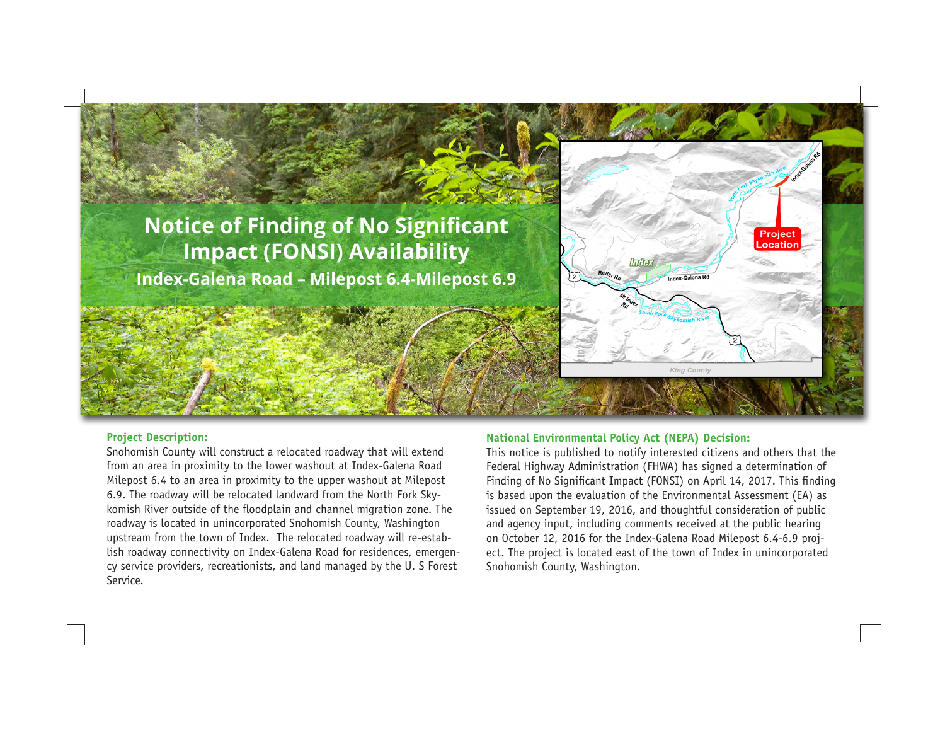## **Notice of Finding of No Significant Impact (FONSI) Availability Index-Galena Road – Milepost 6.4-Milepost 6.9**



## **Project Description:**

Snohomish County will construct a relocated roadway that will extend from an area in proximity to the lower washout at Index-Galena Road Milepost 6.4 to an area in proximity to the upper washout at Milepost 6.9. The roadway will be relocated landward from the North Fork Skykomish River outside of the floodplain and channel migration zone. The roadway is located in unincorporated Snohomish County, Washington upstream from the town of Index. The relocated roadway will re-establish roadway connectivity on Index-Galena Road for residences, emergency service providers, recreationists, and land managed by the U. S Forest Service.

## **National Environmental Policy Act (NEPA) Decision:**

This notice is published to notify interested citizens and others that the Federal Highway Administration (FHWA) has signed a determination of Finding of No Significant Impact (FONSI) on April 14, 2017. This finding is based upon the evaluation of the Environmental Assessment (EA) as issued on September 19, 2016, and thoughtful consideration of public and agency input, including comments received at the public hearing on October 12, 2016 for the Index-Galena Road Milepost 6.4-6.9 project. The project is located east of the town of Index in unincorporated Snohomish County, Washington.